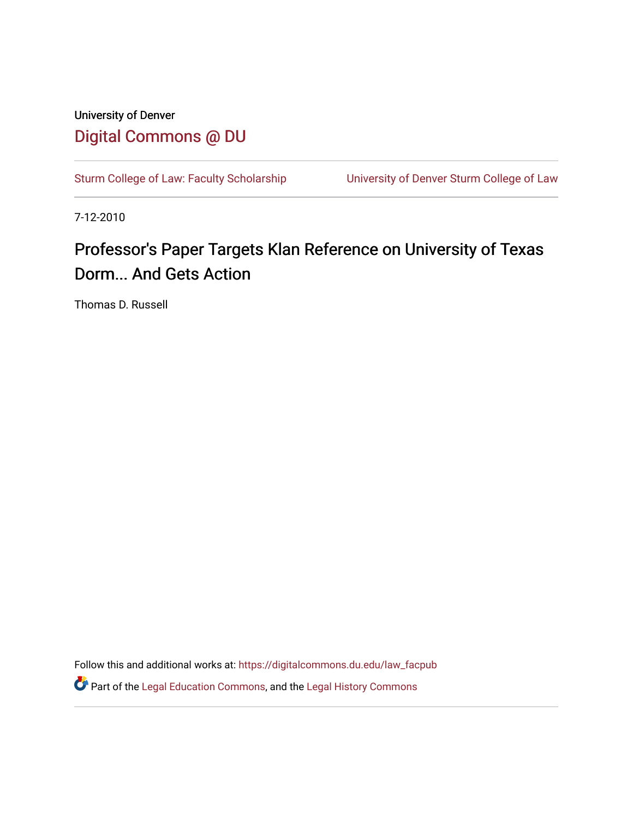# University of Denver [Digital Commons @ DU](https://digitalcommons.du.edu/)

[Sturm College of Law: Faculty Scholarship](https://digitalcommons.du.edu/law_facpub) [University of Denver Sturm College of Law](https://digitalcommons.du.edu/denver_law) 

7-12-2010

# Professor's Paper Targets Klan Reference on University of Texas Dorm... And Gets Action

Thomas D. Russell

Follow this and additional works at: [https://digitalcommons.du.edu/law\\_facpub](https://digitalcommons.du.edu/law_facpub?utm_source=digitalcommons.du.edu%2Flaw_facpub%2F247&utm_medium=PDF&utm_campaign=PDFCoverPages) 

Part of the [Legal Education Commons,](http://network.bepress.com/hgg/discipline/857?utm_source=digitalcommons.du.edu%2Flaw_facpub%2F247&utm_medium=PDF&utm_campaign=PDFCoverPages) and the [Legal History Commons](http://network.bepress.com/hgg/discipline/904?utm_source=digitalcommons.du.edu%2Flaw_facpub%2F247&utm_medium=PDF&utm_campaign=PDFCoverPages)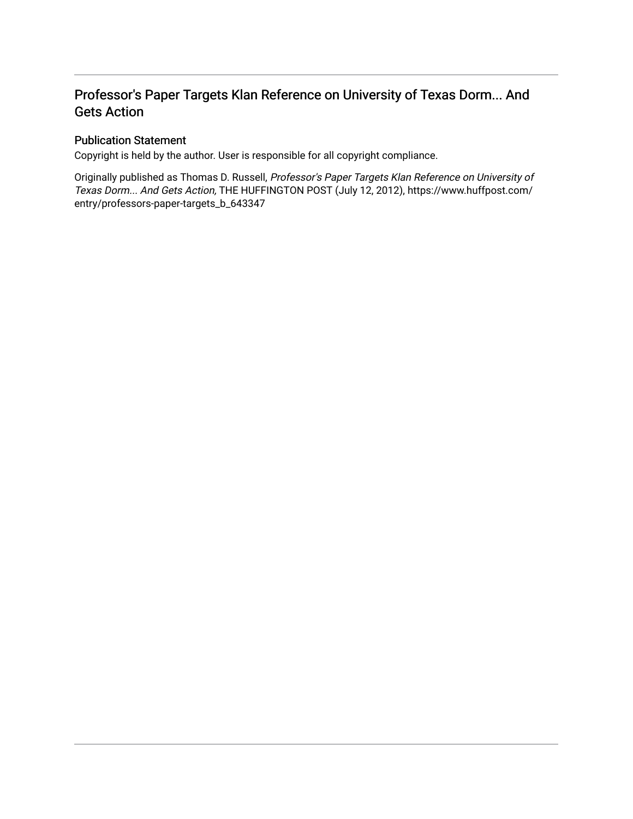# Professor's Paper Targets Klan Reference on University of Texas Dorm... And Gets Action

#### Publication Statement

Copyright is held by the author. User is responsible for all copyright compliance.

Originally published as Thomas D. Russell, Professor's Paper Targets Klan Reference on University of Texas Dorm... And Gets Action, THE HUFFINGTON POST (July 12, 2012), https://www.huffpost.com/ entry/professors-paper-targets\_b\_643347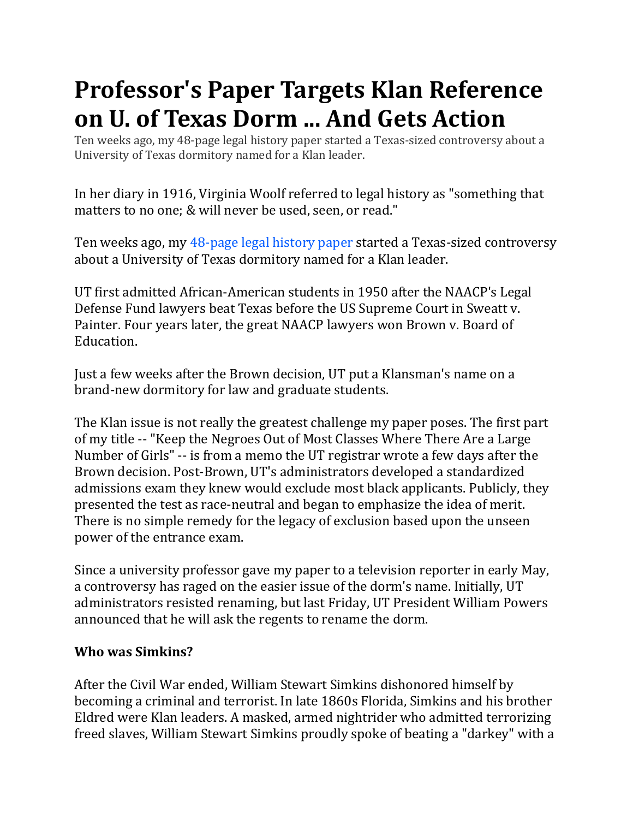# **Professor's Paper Targets Klan Reference on U. of Texas Dorm ... And Gets Action**

Ten weeks ago, my 48-page legal history paper started a Texas-sized controversy about a University of Texas dormitory named for a Klan leader.

In her diary in 1916, Virginia Woolf referred to legal history as "something that matters to no one; & will never be used, seen, or read."

Ten weeks ago, my [48-page legal history paper](http://www.houseofrussell.com/) started a Texas-sized controversy about a University of Texas dormitory named for a Klan leader.

UT first admitted African-American students in 1950 after the NAACP's Legal Defense Fund lawyers beat Texas before the US Supreme Court in Sweatt v. Painter. Four years later, the great NAACP lawyers won Brown v. Board of Education.

Just a few weeks after the Brown decision, UT put a Klansman's name on a brand-new dormitory for law and graduate students.

The Klan issue is not really the greatest challenge my paper poses. The first part of my title -- "Keep the Negroes Out of Most Classes Where There Are a Large Number of Girls" -- is from a memo the UT registrar wrote a few days after the Brown decision. Post-Brown, UT's administrators developed a standardized admissions exam they knew would exclude most black applicants. Publicly, they presented the test as race-neutral and began to emphasize the idea of merit. There is no simple remedy for the legacy of exclusion based upon the unseen power of the entrance exam.

Since a university professor gave my paper to a television reporter in early May, a controversy has raged on the easier issue of the dorm's name. Initially, UT administrators resisted renaming, but last Friday, UT President William Powers announced that he will ask the regents to rename the dorm.

# **Who was Simkins?**

After the Civil War ended, William Stewart Simkins dishonored himself by becoming a criminal and terrorist. In late 1860s Florida, Simkins and his brother Eldred were Klan leaders. A masked, armed nightrider who admitted terrorizing freed slaves, William Stewart Simkins proudly spoke of beating a "darkey" with a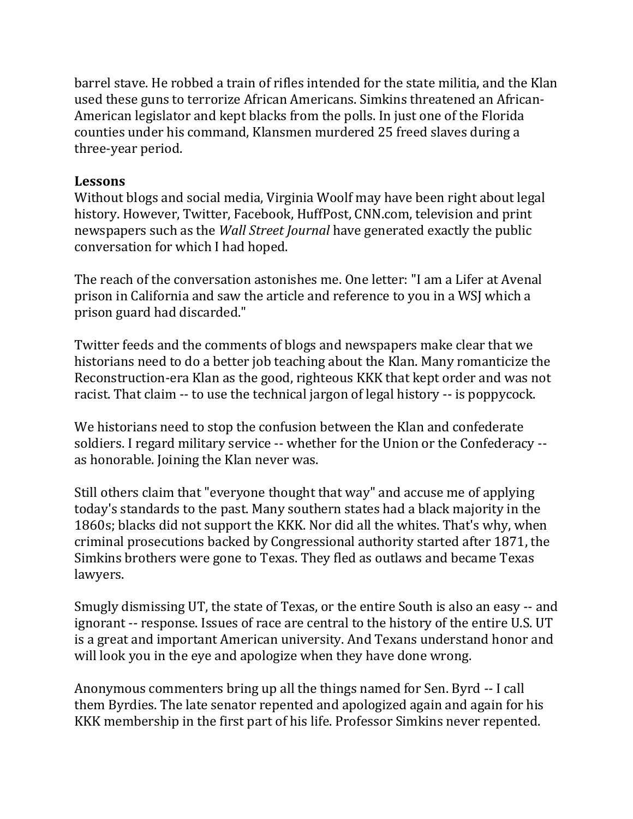barrel stave. He robbed a train of rifles intended for the state militia, and the Klan used these guns to terrorize African Americans. Simkins threatened an African-American legislator and kept blacks from the polls. In just one of the Florida counties under his command, Klansmen murdered 25 freed slaves during a three-year period.

### **Lessons**

Without blogs and social media, Virginia Woolf may have been right about legal history. However, Twitter, Facebook, HuffPost, CNN.com, television and print newspapers such as the *Wall Street Journal* have generated exactly the public conversation for which I had hoped.

The reach of the conversation astonishes me. One letter: "I am a Lifer at Avenal prison in California and saw the article and reference to you in a WSJ which a prison guard had discarded."

Twitter feeds and the comments of blogs and newspapers make clear that we historians need to do a better job teaching about the Klan. Many romanticize the Reconstruction-era Klan as the good, righteous KKK that kept order and was not racist. That claim -- to use the technical jargon of legal history -- is poppycock.

We historians need to stop the confusion between the Klan and confederate soldiers. I regard military service -- whether for the Union or the Confederacy - as honorable. Joining the Klan never was.

Still others claim that "everyone thought that way" and accuse me of applying today's standards to the past. Many southern states had a black majority in the 1860s; blacks did not support the KKK. Nor did all the whites. That's why, when criminal prosecutions backed by Congressional authority started after 1871, the Simkins brothers were gone to Texas. They fled as outlaws and became Texas lawyers.

Smugly dismissing UT, the state of Texas, or the entire South is also an easy -- and ignorant -- response. Issues of race are central to the history of the entire U.S. UT is a great and important American university. And Texans understand honor and will look you in the eye and apologize when they have done wrong.

Anonymous commenters bring up all the things named for Sen. Byrd -- I call them Byrdies. The late senator repented and apologized again and again for his KKK membership in the first part of his life. Professor Simkins never repented.